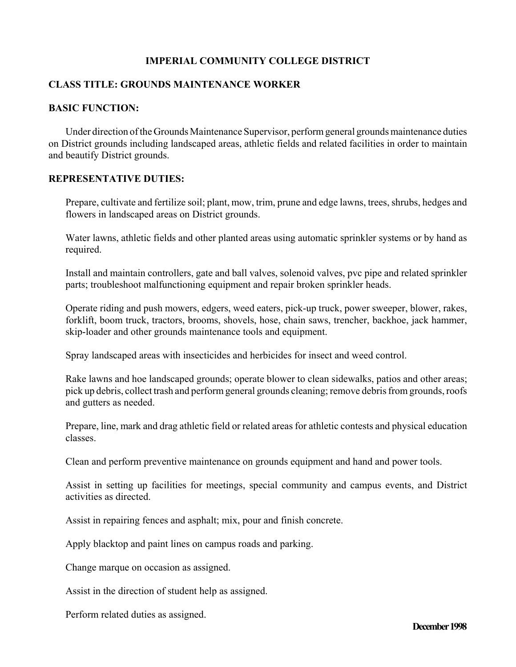## **IMPERIAL COMMUNITY COLLEGE DISTRICT**

## **CLASS TITLE: GROUNDS MAINTENANCE WORKER**

## **BASIC FUNCTION:**

Under direction of the Grounds Maintenance Supervisor, perform general grounds maintenance duties on District grounds including landscaped areas, athletic fields and related facilities in order to maintain and beautify District grounds.

### **REPRESENTATIVE DUTIES:**

Prepare, cultivate and fertilize soil; plant, mow, trim, prune and edge lawns, trees, shrubs, hedges and flowers in landscaped areas on District grounds.

Water lawns, athletic fields and other planted areas using automatic sprinkler systems or by hand as required.

Install and maintain controllers, gate and ball valves, solenoid valves, pvc pipe and related sprinkler parts; troubleshoot malfunctioning equipment and repair broken sprinkler heads.

Operate riding and push mowers, edgers, weed eaters, pick-up truck, power sweeper, blower, rakes, forklift, boom truck, tractors, brooms, shovels, hose, chain saws, trencher, backhoe, jack hammer, skip-loader and other grounds maintenance tools and equipment.

Spray landscaped areas with insecticides and herbicides for insect and weed control.

Rake lawns and hoe landscaped grounds; operate blower to clean sidewalks, patios and other areas; pick up debris, collect trash and perform general grounds cleaning; remove debris from grounds, roofs and gutters as needed.

Prepare, line, mark and drag athletic field or related areas for athletic contests and physical education classes.

Clean and perform preventive maintenance on grounds equipment and hand and power tools.

Assist in setting up facilities for meetings, special community and campus events, and District activities as directed.

Assist in repairing fences and asphalt; mix, pour and finish concrete.

Apply blacktop and paint lines on campus roads and parking.

Change marque on occasion as assigned.

Assist in the direction of student help as assigned.

Perform related duties as assigned.